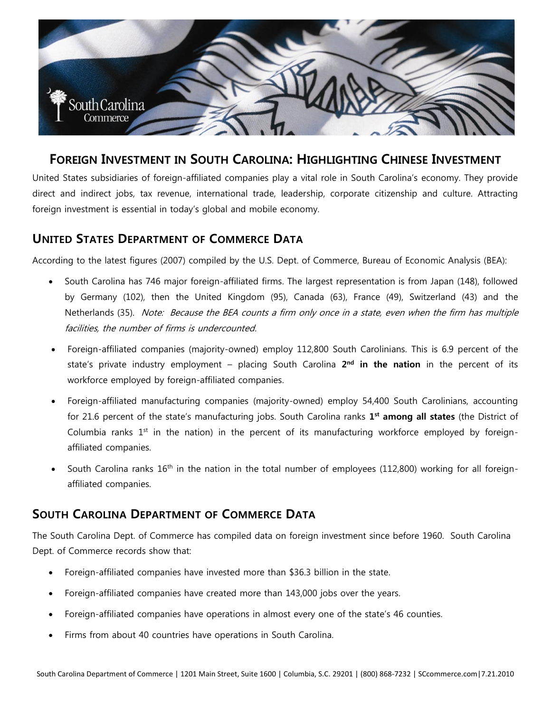

# **FOREIGN INVESTMENT IN SOUTH CAROLINA: HIGHLIGHTING CHINESE INVESTMENT**

United States subsidiaries of foreign-affiliated companies play a vital role in South Carolina's economy. They provide direct and indirect jobs, tax revenue, international trade, leadership, corporate citizenship and culture. Attracting foreign investment is essential in today's global and mobile economy.

#### **UNITED STATES DEPARTMENT OF COMMERCE DATA**

According to the latest figures (2007) compiled by the U.S. Dept. of Commerce, Bureau of Economic Analysis (BEA):

- South Carolina has 746 major foreign-affiliated firms. The largest representation is from Japan (148), followed by Germany (102), then the United Kingdom (95), Canada (63), France (49), Switzerland (43) and the Netherlands (35). Note: Because the BEA counts a firm only once in a state, even when the firm has multiple facilities, the number of firms is undercounted.
- Foreign-affiliated companies (majority-owned) employ 112,800 South Carolinians. This is 6.9 percent of the state's private industry employment – placing South Carolina 2<sup>nd</sup> in the nation in the percent of its workforce employed by foreign-affiliated companies.
- Foreign-affiliated manufacturing companies (majority-owned) employ 54,400 South Carolinians, accounting for 21.6 percent of the state's manufacturing jobs. South Carolina ranks **1 st among all states** (the District of Columbia ranks  $1<sup>st</sup>$  in the nation) in the percent of its manufacturing workforce employed by foreignaffiliated companies.
- South Carolina ranks  $16<sup>th</sup>$  in the nation in the total number of employees (112,800) working for all foreignaffiliated companies.

### **SOUTH CAROLINA DEPARTMENT OF COMMERCE DATA**

The South Carolina Dept. of Commerce has compiled data on foreign investment since before 1960. South Carolina Dept. of Commerce records show that:

- Foreign-affiliated companies have invested more than \$36.3 billion in the state.
- Foreign-affiliated companies have created more than 143,000 jobs over the years.
- Foreign-affiliated companies have operations in almost every one of the state's 46 counties.
- Firms from about 40 countries have operations in South Carolina.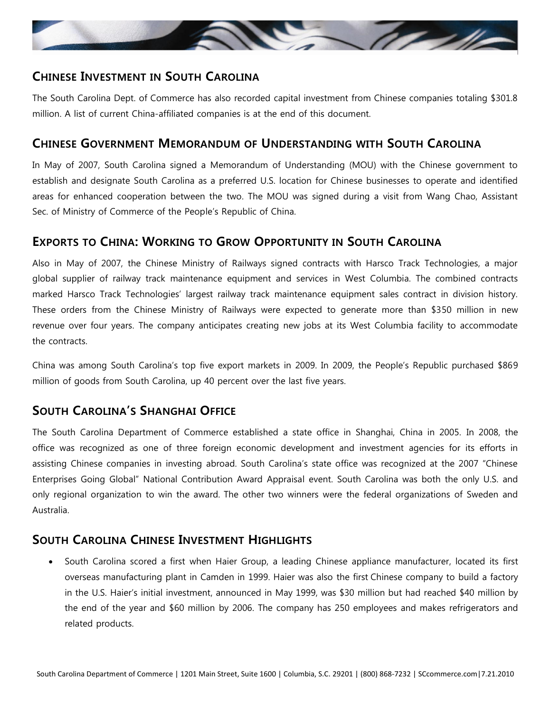

### **CHINESE INVESTMENT IN SOUTH CAROLINA**

The South Carolina Dept. of Commerce has also recorded capital investment from Chinese companies totaling \$301.8 million. A list of current China-affiliated companies is at the end of this document.

#### **CHINESE GOVERNMENT MEMORANDUM OF UNDERSTANDING WITH SOUTH CAROLINA**

In May of 2007, South Carolina signed a Memorandum of Understanding (MOU) with the Chinese government to establish and designate South Carolina as a preferred U.S. location for Chinese businesses to operate and identified areas for enhanced cooperation between the two. The MOU was signed during a visit from Wang Chao, Assistant Sec. of Ministry of Commerce of the People's Republic of China.

### **EXPORTS TO CHINA: WORKING TO GROW OPPORTUNITY IN SOUTH CAROLINA**

Also in May of 2007, the Chinese Ministry of Railways signed contracts with Harsco Track Technologies, a major global supplier of railway track maintenance equipment and services in West Columbia. The combined contracts marked Harsco Track Technologies' largest railway track maintenance equipment sales contract in division history. These orders from the Chinese Ministry of Railways were expected to generate more than \$350 million in new revenue over four years. The company anticipates creating new jobs at its West Columbia facility to accommodate the contracts.

China was among South Carolina's top five export markets in 2009. In 2009, the People's Republic purchased \$869 million of goods from South Carolina, up 40 percent over the last five years.

# **SOUTH CAROLINA'S SHANGHAI OFFICE**

The South Carolina Department of Commerce established a state office in Shanghai, China in 2005. In 2008, the office was recognized as one of three foreign economic development and investment agencies for its efforts in assisting Chinese companies in investing abroad. South Carolina's state office was recognized at the 2007 "Chinese Enterprises Going Global" National Contribution Award Appraisal event. South Carolina was both the only U.S. and only regional organization to win the award. The other two winners were the federal organizations of Sweden and Australia.

### **SOUTH CAROLINA CHINESE INVESTMENT HIGHLIGHTS**

 South Carolina scored a first when Haier Group, a leading Chinese appliance manufacturer, located its first overseas manufacturing plant in Camden in 1999. Haier was also the first Chinese company to build a factory in the U.S. Haier's initial investment, announced in May 1999, was \$30 million but had reached \$40 million by the end of the year and \$60 million by 2006. The company has 250 employees and makes refrigerators and related products.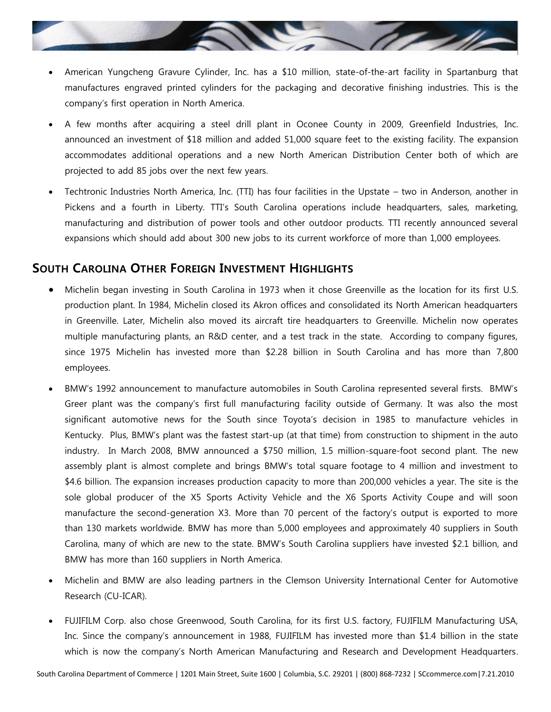

- American Yungcheng Gravure Cylinder, Inc. has a \$10 million, state-of-the-art facility in Spartanburg that manufactures engraved printed cylinders for the packaging and decorative finishing industries. This is the company's first operation in North America.
- A few months after acquiring a steel drill plant in Oconee County in 2009, Greenfield Industries, Inc. announced an investment of \$18 million and added 51,000 square feet to the existing facility. The expansion accommodates additional operations and a new North American Distribution Center both of which are projected to add 85 jobs over the next few years.
- Techtronic Industries North America, Inc. (TTI) has four facilities in the Upstate two in Anderson, another in Pickens and a fourth in Liberty. TTI's South Carolina operations include headquarters, sales, marketing, manufacturing and distribution of power tools and other outdoor products. TTI recently announced several expansions which should add about 300 new jobs to its current workforce of more than 1,000 employees.

#### **SOUTH CAROLINA OTHER FOREIGN INVESTMENT HIGHLIGHTS**

- Michelin began investing in South Carolina in 1973 when it chose Greenville as the location for its first U.S. production plant. In 1984, Michelin closed its Akron offices and consolidated its North American headquarters in Greenville. Later, Michelin also moved its aircraft tire headquarters to Greenville. Michelin now operates multiple manufacturing plants, an R&D center, and a test track in the state. According to company figures, since 1975 Michelin has invested more than \$2.28 billion in South Carolina and has more than 7,800 employees.
- BMW's 1992 announcement to manufacture automobiles in South Carolina represented several firsts. BMW's Greer plant was the company's first full manufacturing facility outside of Germany. It was also the most significant automotive news for the South since Toyota's decision in 1985 to manufacture vehicles in Kentucky. Plus, BMW's plant was the fastest start-up (at that time) from construction to shipment in the auto industry. In March 2008, BMW announced a \$750 million, 1.5 million-square-foot second plant. The new assembly plant is almost complete and brings BMW's total square footage to 4 million and investment to \$4.6 billion. The expansion increases production capacity to more than 200,000 vehicles a year. The site is the sole global producer of the X5 Sports Activity Vehicle and the X6 Sports Activity Coupe and will soon manufacture the second-generation X3. More than 70 percent of the factory's output is exported to more than 130 markets worldwide. BMW has more than 5,000 employees and approximately 40 suppliers in South Carolina, many of which are new to the state. BMW's South Carolina suppliers have invested \$2.1 billion, and BMW has more than 160 suppliers in North America.
- Michelin and BMW are also leading partners in the Clemson University International Center for Automotive Research (CU-ICAR).
- FUJIFILM Corp. also chose Greenwood, South Carolina, for its first U.S. factory, FUJIFILM Manufacturing USA, Inc. Since the company's announcement in 1988, FUJIFILM has invested more than \$1.4 billion in the state which is now the company's North American Manufacturing and Research and Development Headquarters.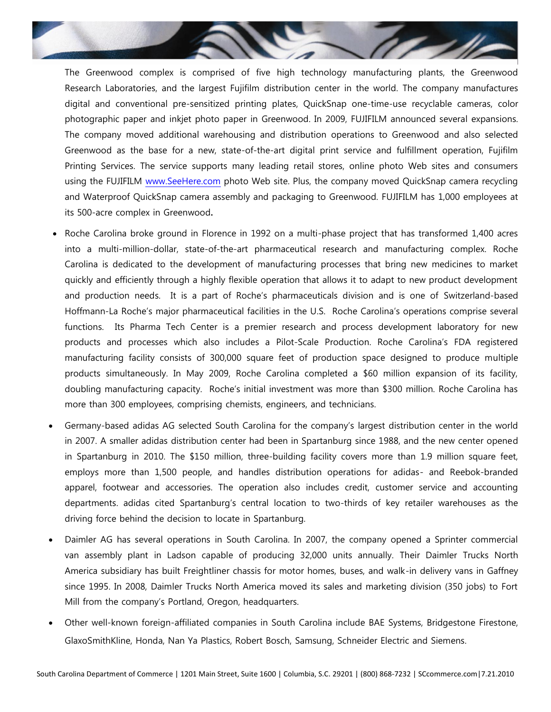

The Greenwood complex is comprised of five high technology manufacturing plants, the Greenwood Research Laboratories, and the largest Fujifilm distribution center in the world. The company manufactures digital and conventional pre-sensitized printing plates, QuickSnap one-time-use recyclable cameras, color photographic paper and inkjet photo paper in Greenwood. In 2009, FUJIFILM announced several expansions. The company moved additional warehousing and distribution operations to Greenwood and also selected Greenwood as the base for a new, state-of-the-art digital print service and fulfillment operation, Fujifilm Printing Services. The service supports many leading retail stores, online photo Web sites and consumers using the FUJIFILM [www.SeeHere.com](http://www.seehere.com/) photo Web site. Plus, the company moved QuickSnap camera recycling and Waterproof QuickSnap camera assembly and packaging to Greenwood. FUJIFILM has 1,000 employees at its 500-acre complex in Greenwood**.**

- Roche Carolina broke ground in Florence in 1992 on a multi-phase project that has transformed 1,400 acres into a multi-million-dollar, state-of-the-art pharmaceutical research and manufacturing complex. Roche Carolina is dedicated to the development of manufacturing processes that bring new medicines to market quickly and efficiently through a highly flexible operation that allows it to adapt to new product development and production needs. It is a part of Roche's pharmaceuticals division and is one of Switzerland-based Hoffmann-La Roche's major pharmaceutical facilities in the U.S. Roche Carolina's operations comprise several functions. Its Pharma Tech Center is a premier research and process development laboratory for new products and processes which also includes a Pilot-Scale Production. Roche Carolina's FDA registered manufacturing facility consists of 300,000 square feet of production space designed to produce multiple products simultaneously. In May 2009, Roche Carolina completed a \$60 million expansion of its facility, doubling manufacturing capacity. Roche's initial investment was more than \$300 million. Roche Carolina has more than 300 employees, comprising chemists, engineers, and technicians.
- Germany-based adidas AG selected South Carolina for the company's largest distribution center in the world in 2007. A smaller adidas distribution center had been in Spartanburg since 1988, and the new center opened in Spartanburg in 2010. The \$150 million, three-building facility covers more than 1.9 million square feet, employs more than 1,500 people, and handles distribution operations for adidas- and Reebok-branded apparel, footwear and accessories. The operation also includes credit, customer service and accounting departments. adidas cited Spartanburg's central location to two-thirds of key retailer warehouses as the driving force behind the decision to locate in Spartanburg.
- Daimler AG has several operations in South Carolina. In 2007, the company opened a Sprinter commercial van assembly plant in Ladson capable of producing 32,000 units annually. Their Daimler Trucks North America subsidiary has built Freightliner chassis for motor homes, buses, and walk-in delivery vans in Gaffney since 1995. In 2008, Daimler Trucks North America moved its sales and marketing division (350 jobs) to Fort Mill from the company's Portland, Oregon, headquarters.
- Other well-known foreign-affiliated companies in South Carolina include BAE Systems, Bridgestone Firestone, GlaxoSmithKline, Honda, Nan Ya Plastics, Robert Bosch, Samsung, Schneider Electric and Siemens.